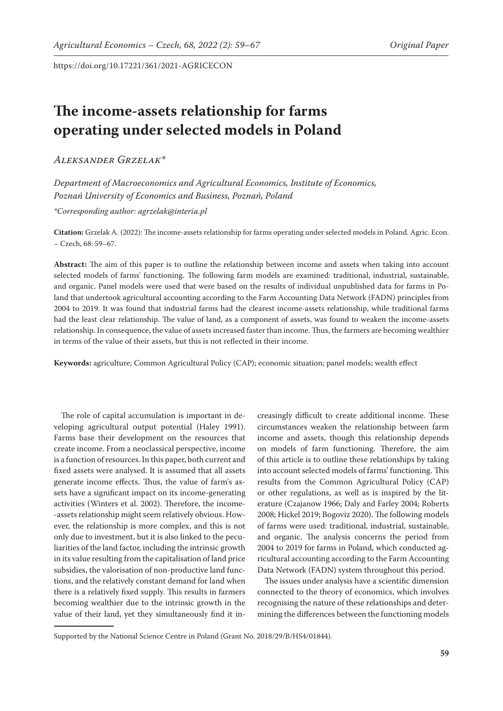# **The income-assets relationship for farms operating under selected models in Poland**

# *Aleksander Grzelak\**

*Department of Macroeconomics and Agricultural Economics, Institute of Economics, Poznań University of Economics and Business, Poznań, Poland*

*\*Corresponding author: agrzelak@interia.pl*

**Citation:** Grzelak A. (2022): The income-assets relationship for farms operating under selected models in Poland. Agric. Econ. – Czech, 68: 59–67.

**Abstract:** The aim of this paper is to outline the relationship between income and assets when taking into account selected models of farms' functioning. The following farm models are examined: traditional, industrial, sustainable, and organic. Panel models were used that were based on the results of individual unpublished data for farms in Poland that undertook agricultural accounting according to the Farm Accounting Data Network (FADN) principles from 2004 to 2019. It was found that industrial farms had the clearest income-assets relationship, while traditional farms had the least clear relationship. The value of land, as a component of assets, was found to weaken the income-assets relationship. In consequence, the value of assets increased faster than income. Thus, the farmers are becoming wealthier in terms of the value of their assets, but this is not reflected in their income.

**Keywords:** agriculture; Common Agricultural Policy (CAP); economic situation; panel models; wealth effect

The role of capital accumulation is important in developing agricultural output potential (Haley 1991). Farms base their development on the resources that create income. From a neoclassical perspective, income is a function of resources. In this paper, both current and fixed assets were analysed. It is assumed that all assets generate income effects. Thus, the value of farm's assets have a significant impact on its income-generating activities (Winters et al. 2002). Therefore, the income- -assets relationship might seem relatively obvious. However, the relationship is more complex, and this is not only due to investment, but it is also linked to the peculiarities of the land factor, including the intrinsic growth in its value resulting from the capitalisation of land price subsidies, the valorisation of non-productive land functions, and the relatively constant demand for land when there is a relatively fixed supply. This results in farmers becoming wealthier due to the intrinsic growth in the value of their land, yet they simultaneously find it in-

creasingly difficult to create additional income. These circumstances weaken the relationship between farm income and assets, though this relationship depends on models of farm functioning. Therefore, the aim of this article is to outline these relationships by taking into account selected models of farms' functioning. This results from the Common Agricultural Policy (CAP) or other regulations, as well as is inspired by the literature (Czajanow 1966; Daly and Farley 2004; Roberts 2008; Hickel 2019; Bogoviz 2020). The following models of farms were used: traditional, industrial, sustainable, and organic. The analysis concerns the period from 2004 to 2019 for farms in Poland, which conducted agricultural accounting according to the Farm Accounting Data Network (FADN) system throughout this period.

The issues under analysis have a scientific dimension connected to the theory of economics, which involves recognising the nature of these relationships and determining the differences between the functioning models

Supported by the National Science Centre in Poland (Grant No. 2018/29/B/HS4/01844).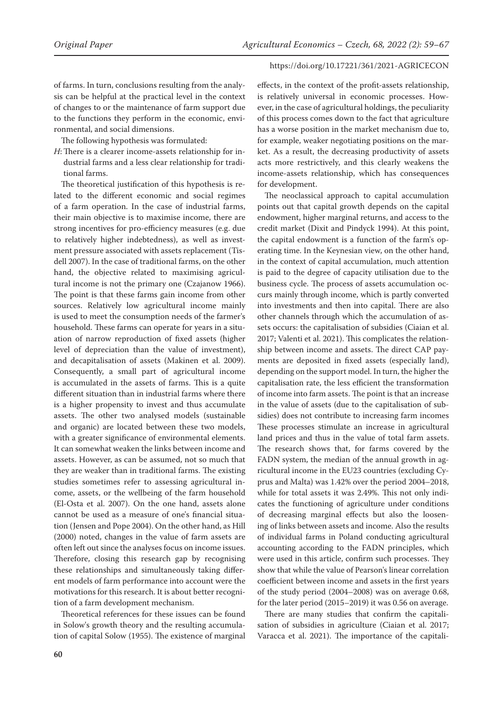of farms. In turn, conclusions resulting from the analysis can be helpful at the practical level in the context of changes to or the maintenance of farm support due to the functions they perform in the economic, environmental, and social dimensions.

The following hypothesis was formulated:

*H*:There is a clearer income-assets relationship for industrial farms and a less clear relationship for traditional farms.

The theoretical justification of this hypothesis is related to the different economic and social regimes of a farm operation. In the case of industrial farms, their main objective is to maximise income, there are strong incentives for pro-efficiency measures (e.g. due to relatively higher indebtedness), as well as investment pressure associated with assets replacement (Tisdell 2007). In the case of traditional farms, on the other hand, the objective related to maximising agricultural income is not the primary one (Czajanow 1966). The point is that these farms gain income from other sources. Relatively low agricultural income mainly is used to meet the consumption needs of the farmer's household. These farms can operate for years in a situation of narrow reproduction of fixed assets (higher level of depreciation than the value of investment), and decapitalisation of assets (Makinen et al. 2009). Consequently, a small part of agricultural income is accumulated in the assets of farms. This is a quite different situation than in industrial farms where there is a higher propensity to invest and thus accumulate assets. The other two analysed models (sustainable and organic) are located between these two models, with a greater significance of environmental elements. It can somewhat weaken the links between income and assets. However, as can be assumed, not so much that they are weaker than in traditional farms. The existing studies sometimes refer to assessing agricultural income, assets, or the wellbeing of the farm household (El-Osta et al. 2007). On the one hand, assets alone cannot be used as a measure of one's financial situation (Jensen and Pope 2004). On the other hand, as Hill (2000) noted, changes in the value of farm assets are often left out since the analyses focus on income issues. Therefore, closing this research gap by recognising these relationships and simultaneously taking different models of farm performance into account were the motivations for this research. It is about better recognition of a farm development mechanism.

Theoretical references for these issues can be found in Solow's growth theory and the resulting accumulation of capital Solow (1955). The existence of marginal

effects, in the context of the profit-assets relationship, is relatively universal in economic processes. However, in the case of agricultural holdings, the peculiarity of this process comes down to the fact that agriculture has a worse position in the market mechanism due to, for example, weaker negotiating positions on the market. As a result, the decreasing productivity of assets acts more restrictively, and this clearly weakens the income-assets relationship, which has consequences for development.

The neoclassical approach to capital accumulation points out that capital growth depends on the capital endowment, higher marginal returns, and access to the credit market (Dixit and Pindyck 1994). At this point, the capital endowment is a function of the farm's operating time. In the Keynesian view, on the other hand, in the context of capital accumulation, much attention is paid to the degree of capacity utilisation due to the business cycle. The process of assets accumulation occurs mainly through income, which is partly converted into investments and then into capital. There are also other channels through which the accumulation of assets occurs: the capitalisation of subsidies (Ciaian et al. 2017; Valenti et al. 2021). This complicates the relationship between income and assets. The direct CAP payments are deposited in fixed assets (especially land), depending on the support model. In turn, the higher the capitalisation rate, the less efficient the transformation of income into farm assets. The point is that an increase in the value of assets (due to the capitalisation of subsidies) does not contribute to increasing farm incomes These processes stimulate an increase in agricultural land prices and thus in the value of total farm assets. The research shows that, for farms covered by the FADN system, the median of the annual growth in agricultural income in the EU23 countries (excluding Cyprus and Malta) was 1.42% over the period 2004–2018, while for total assets it was 2.49%. This not only indicates the functioning of agriculture under conditions of decreasing marginal effects but also the loosening of links between assets and income. Also the results of individual farms in Poland conducting agricultural accounting according to the FADN principles, which were used in this article, confirm such processes. They show that while the value of Pearson's linear correlation coefficient between income and assets in the first years of the study period (2004–2008) was on average 0.68, for the later period (2015–2019) it was 0.56 on average.

There are many studies that confirm the capitalisation of subsidies in agriculture (Ciaian et al. 2017; Varacca et al. 2021). The importance of the capitali-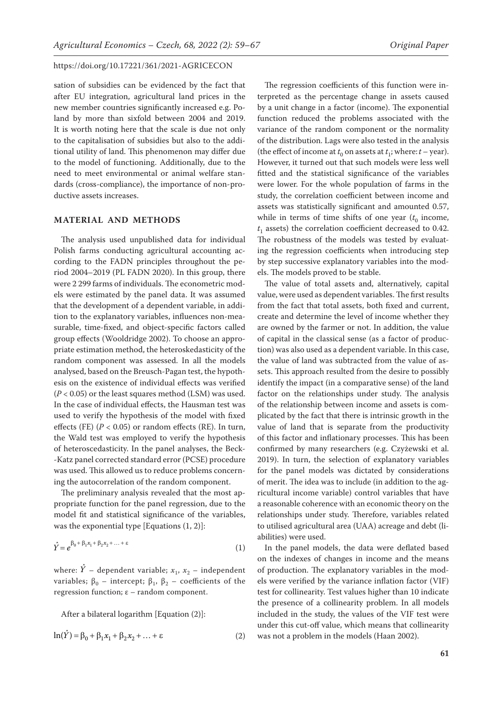sation of subsidies can be evidenced by the fact that after EU integration, agricultural land prices in the new member countries significantly increased e.g. Poland by more than sixfold between 2004 and 2019. It is worth noting here that the scale is due not only to the capitalisation of subsidies but also to the additional utility of land. This phenomenon may differ due to the model of functioning. Additionally, due to the need to meet environmental or animal welfare standards (cross-compliance), the importance of non-productive assets increases.

# **MATERIAL AND METHODS**

The analysis used unpublished data for individual Polish farms conducting agricultural accounting according to the FADN principles throughout the period 2004–2019 (PL FADN 2020). In this group, there were 2 299 farms of individuals. The econometric models were estimated by the panel data. It was assumed that the development of a dependent variable, in addition to the explanatory variables, influences non-measurable, time-fixed, and object-specific factors called group effects (Wooldridge 2002). To choose an appropriate estimation method, the heteroskedasticity of the random component was assessed. In all the models analysed, based on the Breusch-Pagan test, the hypothesis on the existence of individual effects was verified  $(P < 0.05)$  or the least squares method (LSM) was used. In the case of individual effects, the Hausman test was used to verify the hypothesis of the model with fixed effects (FE)  $(P < 0.05)$  or random effects (RE). In turn, the Wald test was employed to verify the hypothesis of heteroscedasticity. In the panel analyses, the Beck- -Katz panel corrected standard error (PCSE) procedure was used. This allowed us to reduce problems concerning the autocorrelation of the random component.

The preliminary analysis revealed that the most appropriate function for the panel regression, due to the model fit and statistical significance of the variables, was the exponential type [Equations  $(1, 2)$ ]:

$$
\hat{Y} = e^{\beta_0 + \beta_1 x_1 + \beta_2 x_2 + \dots + \varepsilon} \tag{1}
$$

where:  $\hat{Y}$  – dependent variable;  $x_1$ ,  $x_2$  – independent variables;  $\beta_0$  – intercept;  $\beta_1$ ,  $\beta_2$  – coefficients of the regression function; ε – random component.

After a bilateral logarithm [Equation (2)]:

$$
\ln(\hat{Y}) = \beta_0 + \beta_1 x_1 + \beta_2 x_2 + \dots + \varepsilon \tag{2}
$$

The regression coefficients of this function were interpreted as the percentage change in assets caused by a unit change in a factor (income). The exponential function reduced the problems associated with the variance of the random component or the normality of the distribution. Lags were also tested in the analysis (the effect of income at  $t_0$  on assets at  $t_1$ ; where:  $t$  – year). However, it turned out that such models were less well fitted and the statistical significance of the variables were lower. For the whole population of farms in the study, the correlation coefficient between income and assets was statistically significant and amounted 0.57, while in terms of time shifts of one year  $(t_0$  income,  $t_1$  assets) the correlation coefficient decreased to 0.42. The robustness of the models was tested by evaluating the regression coefficients when introducing step by step successive explanatory variables into the models. The models proved to be stable.

The value of total assets and, alternatively, capital value, were used as dependent variables. The first results from the fact that total assets, both fixed and current, create and determine the level of income whether they are owned by the farmer or not. In addition, the value of capital in the classical sense (as a factor of production) was also used as a dependent variable. In this case, the value of land was subtracted from the value of assets. This approach resulted from the desire to possibly identify the impact (in a comparative sense) of the land factor on the relationships under study. The analysis of the relationship between income and assets is complicated by the fact that there is intrinsic growth in the value of land that is separate from the productivity of this factor and inflationary processes. This has been confirmed by many researchers (e.g. Czyżewski et al. 2019). In turn, the selection of explanatory variables for the panel models was dictated by considerations of merit. The idea was to include (in addition to the agricultural income variable) control variables that have a reasonable coherence with an economic theory on the relationships under study. Therefore, variables related to utilised agricultural area (UAA) acreage and debt (liabilities) were used.

In the panel models, the data were deflated based on the indexes of changes in income and the means of production. The explanatory variables in the models were verified by the variance inflation factor (VIF) test for collinearity. Test values higher than 10 indicate the presence of a collinearity problem. In all models included in the study, the values of the VIF test were under this cut-off value, which means that collinearity was not a problem in the models (Haan 2002).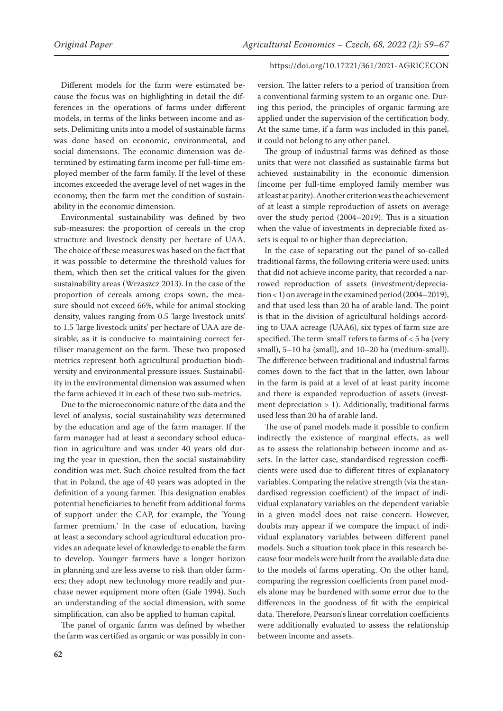Different models for the farm were estimated because the focus was on highlighting in detail the differences in the operations of farms under different models, in terms of the links between income and assets. Delimiting units into a model of sustainable farms was done based on economic, environmental, and social dimensions. The economic dimension was determined by estimating farm income per full-time employed member of the farm family. If the level of these incomes exceeded the average level of net wages in the economy, then the farm met the condition of sustainability in the economic dimension.

Environmental sustainability was defined by two sub-measures: the proportion of cereals in the crop structure and livestock density per hectare of UAA. The choice of these measures was based on the fact that it was possible to determine the threshold values for them, which then set the critical values for the given sustainability areas (Wrzaszcz 2013). In the case of the proportion of cereals among crops sown, the measure should not exceed 66%, while for animal stocking density, values ranging from 0.5 'large livestock units' to 1.5 'large livestock units' per hectare of UAA are desirable, as it is conducive to maintaining correct fertiliser management on the farm. These two proposed metrics represent both agricultural production biodiversity and environmental pressure issues. Sustainability in the environmental dimension was assumed when the farm achieved it in each of these two sub-metrics.

Due to the microeconomic nature of the data and the level of analysis, social sustainability was determined by the education and age of the farm manager. If the farm manager had at least a secondary school education in agriculture and was under 40 years old during the year in question, then the social sustainability condition was met. Such choice resulted from the fact that in Poland, the age of 40 years was adopted in the definition of a young farmer. This designation enables potential beneficiaries to benefit from additional forms of support under the CAP, for example, the 'Young farmer premium.' In the case of education, having at least a secondary school agricultural education provides an adequate level of knowledge to enable the farm to develop. Younger farmers have a longer horizon in planning and are less averse to risk than older farmers; they adopt new technology more readily and purchase newer equipment more often (Gale 1994). Such an understanding of the social dimension, with some simplification, can also be applied to human capital.

The panel of organic farms was defined by whether the farm was certified as organic or was possibly in conversion. The latter refers to a period of transition from a conventional farming system to an organic one. During this period, the principles of organic farming are applied under the supervision of the certification body. At the same time, if a farm was included in this panel, it could not belong to any other panel.

The group of industrial farms was defined as those units that were not classified as sustainable farms but achieved sustainability in the economic dimension (income per full-time employed family member was at least at parity). Another criterion was the achievement of at least a simple reproduction of assets on average over the study period (2004–2019). This is a situation when the value of investments in depreciable fixed assets is equal to or higher than depreciation.

In the case of separating out the panel of so-called traditional farms, the following criteria were used: units that did not achieve income parity, that recorded a narrowed reproduction of assets (investment/depreciation < 1) on average in the examined period (2004–2019), and that used less than 20 ha of arable land. The point is that in the division of agricultural holdings according to UAA acreage (UAA6), six types of farm size are specified. The term 'small' refers to farms of  $<$  5 ha (very small), 5–10 ha (small), and 10–20 ha (medium-small). The difference between traditional and industrial farms comes down to the fact that in the latter, own labour in the farm is paid at a level of at least parity income and there is expanded reproduction of assets (investment depreciation > 1). Additionally, traditional farms used less than 20 ha of arable land.

The use of panel models made it possible to confirm indirectly the existence of marginal effects, as well as to assess the relationship between income and assets. In the latter case, standardised regression coefficients were used due to different titres of explanatory variables. Comparing the relative strength (via the standardised regression coefficient) of the impact of individual explanatory variables on the dependent variable in a given model does not raise concern. However, doubts may appear if we compare the impact of individual explanatory variables between different panel models. Such a situation took place in this research because four models were built from the available data due to the models of farms operating. On the other hand, comparing the regression coefficients from panel models alone may be burdened with some error due to the differences in the goodness of fit with the empirical data. Therefore, Pearson's linear correlation coefficients were additionally evaluated to assess the relationship between income and assets.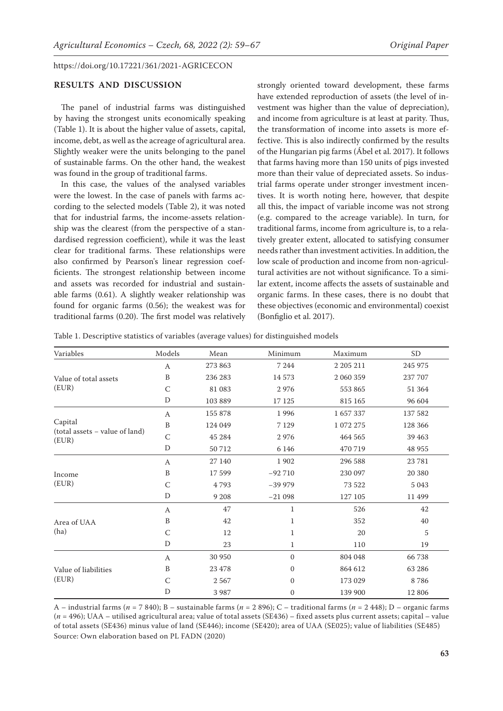## **RESULTS AND DISCUSSION**

The panel of industrial farms was distinguished by having the strongest units economically speaking (Table 1). It is about the higher value of assets, capital, income, debt, as well as the acreage of agricultural area. Slightly weaker were the units belonging to the panel of sustainable farms. On the other hand, the weakest was found in the group of traditional farms.

In this case, the values of the analysed variables were the lowest. In the case of panels with farms according to the selected models (Table 2), it was noted that for industrial farms, the income-assets relationship was the clearest (from the perspective of a standardised regression coefficient), while it was the least clear for traditional farms. These relationships were also confirmed by Pearson's linear regression coefficients. The strongest relationship between income and assets was recorded for industrial and sustainable farms (0.61). A slightly weaker relationship was found for organic farms (0.56); the weakest was for traditional farms (0.20). The first model was relatively

strongly oriented toward development, these farms have extended reproduction of assets (the level of investment was higher than the value of depreciation), and income from agriculture is at least at parity. Thus, the transformation of income into assets is more effective. This is also indirectly confirmed by the results of the Hungarian pig farms (Ábel et al. 2017). It follows that farms having more than 150 units of pigs invested more than their value of depreciated assets. So industrial farms operate under stronger investment incentives. It is worth noting here, however, that despite all this, the impact of variable income was not strong (e.g. compared to the acreage variable). In turn, for traditional farms, income from agriculture is, to a relatively greater extent, allocated to satisfying consumer needs rather than investment activities. In addition, the low scale of production and income from non-agricultural activities are not without significance. To a similar extent, income affects the assets of sustainable and organic farms. In these cases, there is no doubt that these objectives (economic and environmental) coexist (Bonfiglio et al. 2017).

Table 1. Descriptive statistics of variables (average values) for distinguished models

| Variables                                          | Models         | Mean    | Minimum      | Maximum   | <b>SD</b> |
|----------------------------------------------------|----------------|---------|--------------|-----------|-----------|
| Value of total assets<br>(EUR)                     | A              | 273 863 | 7 2 4 4      | 2 205 211 | 245 975   |
|                                                    | B              | 236 283 | 14 573       | 2 060 359 | 237 707   |
|                                                    | $\mathcal{C}$  | 81 083  | 2976         | 553 865   | 51 364    |
|                                                    | D              | 103889  | 17 125       | 815 165   | 96 604    |
| Capital<br>(total assets – value of land)<br>(EUR) | $\mathbf{A}$   | 155 878 | 1996         | 1657337   | 137 582   |
|                                                    | B              | 124 049 | 7 1 2 9      | 1 072 275 | 128 366   |
|                                                    | $\mathsf C$    | 45 284  | 2976         | 464 565   | 39 463    |
|                                                    | D              | 50712   | 6 1 4 6      | 470719    | 48 955    |
| Income<br>(EUR)                                    | A              | 27 140  | 1902         | 296 588   | 23781     |
|                                                    | B              | 17 599  | $-92710$     | 230 097   | 20 380    |
|                                                    | C              | 4793    | $-399979$    | 73 522    | 5 0 4 3   |
|                                                    | D              | 9 2 0 8 | $-21098$     | 127 105   | 11 499    |
| Area of UAA<br>(ha)                                | A              | 47      | $\mathbf{1}$ | 526       | 42        |
|                                                    | B              | 42      | 1            | 352       | 40        |
|                                                    | $\mathcal{C}$  | 12      | 1            | 20        | 5         |
|                                                    | D              | 23      | $\mathbf{1}$ | 110       | 19        |
| Value of liabilities<br>(EUR)                      | $\overline{A}$ | 30 950  | $\Omega$     | 804 048   | 66738     |
|                                                    | B              | 23 478  | $\mathbf{0}$ | 864 612   | 63 28 6   |
|                                                    | $\mathcal{C}$  | 2 5 6 7 | $\mathbf{0}$ | 173 029   | 8786      |
|                                                    | D              | 3987    | $\mathbf{0}$ | 139 900   | 12 806    |

A – industrial farms (*n* = 7 840); B – sustainable farms (*n* = 2 896); C – traditional farms (*n* = 2 448); D – organic farms (*n* = 496); UAA – utilised agricultural area; value of total assets (SE436) – fixed assets plus current assets; capital – value of total assets (SE436) minus value of land (SE446); income (SE420); area of UAA (SE025); value of liabilities (SE485) Source: Own elaboration based on PL FADN (2020)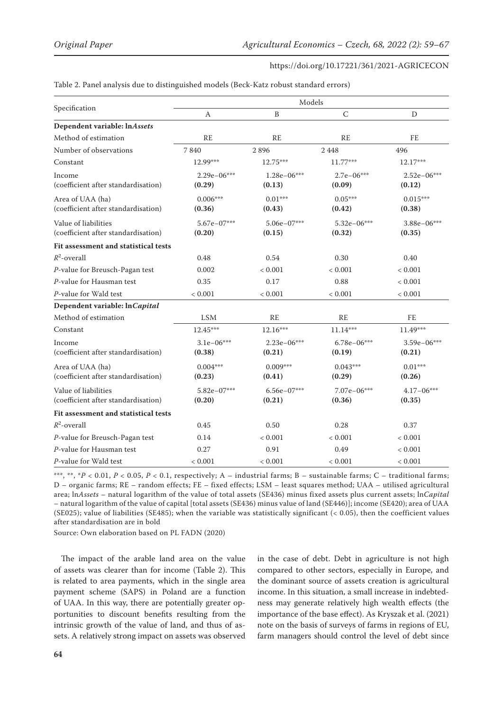|                                                             | Models                    |                           |                           |                           |  |  |
|-------------------------------------------------------------|---------------------------|---------------------------|---------------------------|---------------------------|--|--|
| Specification                                               | $\mathbf{A}$              | B                         | $\mathcal{C}$             | D                         |  |  |
| Dependent variable: lnAssets                                |                           |                           |                           |                           |  |  |
| Method of estimation                                        | <b>RE</b>                 | RE                        | RE                        | FE                        |  |  |
| Number of observations                                      | 7840                      | 2896                      | 2448                      | 496                       |  |  |
| Constant                                                    | 12.99***                  | $12.75***$                | $11.77***$                | $12.17***$                |  |  |
| Income<br>(coefficient after standardisation)               | $2.29e - 06***$<br>(0.29) | $1.28e-06***$<br>(0.13)   | $2.7e-06***$<br>(0.09)    | $2.52e - 06***$<br>(0.12) |  |  |
| Area of UAA (ha)<br>(coefficient after standardisation)     | $0.006***$<br>(0.36)      | $0.01***$<br>(0.43)       | $0.05***$<br>(0.42)       | $0.015***$<br>(0.38)      |  |  |
| Value of liabilities<br>(coefficient after standardisation) | $5.67e - 07***$<br>(0.20) | $5.06e - 07***$<br>(0.15) | $5.32e-06***$<br>(0.32)   | $3.88e - 06***$<br>(0.35) |  |  |
| Fit assessment and statistical tests                        |                           |                           |                           |                           |  |  |
| $R^2$ -overall                                              | 0.48                      | 0.54                      | 0.30                      | 0.40                      |  |  |
| P-value for Breusch-Pagan test                              | 0.002                     | < 0.001                   | < 0.001                   | < 0.001                   |  |  |
| P-value for Hausman test                                    | 0.35                      | 0.17                      | 0.88                      | < 0.001                   |  |  |
| P-value for Wald test                                       | < 0.001                   | < 0.001                   | < 0.001                   | < 0.001                   |  |  |
| Dependent variable: lnCapital                               |                           |                           |                           |                           |  |  |
| Method of estimation                                        | <b>LSM</b>                | RE                        | RE                        | <b>FE</b>                 |  |  |
| Constant                                                    | 12.45***                  | $12.16***$                | $11.14***$                | 11.49***                  |  |  |
| Income<br>(coefficient after standardisation)               | $3.1e-06***$<br>(0.38)    | $2.23e-06***$<br>(0.21)   | $6.78e-06***$<br>(0.19)   | $3.59e-06***$<br>(0.21)   |  |  |
| Area of UAA (ha)<br>(coefficient after standardisation)     | $0.004***$<br>(0.23)      | $0.009***$<br>(0.41)      | $0.043***$<br>(0.29)      | $0.01***$<br>(0.26)       |  |  |
| Value of liabilities<br>(coefficient after standardisation) | $5.82e-07***$<br>(0.20)   | $6.56e-07***$<br>(0.21)   | $7.07e - 06***$<br>(0.36) | $4.17 - 06***$<br>(0.35)  |  |  |
| Fit assessment and statistical tests                        |                           |                           |                           |                           |  |  |
| $R^2$ -overall                                              | 0.45                      | 0.50                      | 0.28                      | 0.37                      |  |  |
| P-value for Breusch-Pagan test                              | 0.14                      | < 0.001                   | < 0.001                   | < 0.001                   |  |  |
| P-value for Hausman test                                    | 0.27                      | 0.91                      | 0.49                      | < 0.001                   |  |  |
| P-value for Wald test                                       | < 0.001                   | < 0.001                   | < 0.001                   | < 0.001                   |  |  |

Table 2. Panel analysis due to distinguished models (Beck-Katz robust standard errors)

\*\*\*, \*\*, \**P* < 0.01, *P* < 0.05, *P* < 0.1, respectively; A – industrial farms; B – sustainable farms; C – traditional farms; D – organic farms; RE – random effects; FE – fixed effects; LSM – least squares method; UAA – utilised agricultural area; ln*Assets* – natural logarithm of the value of total assets (SE436) minus fixed assets plus current assets; ln*Capital* – natural logarithm of the value of capital [total assets (SE436) minus value of land (SE446)]; income (SE420); area of UAA (SE025); value of liabilities (SE485); when the variable was statistically significant ( $<$  0.05), then the coefficient values after standardisation are in bold

Source: Own elaboration based on PL FADN (2020)

The impact of the arable land area on the value of assets was clearer than for income (Table 2). This is related to area payments, which in the single area payment scheme (SAPS) in Poland are a function of UAA. In this way, there are potentially greater opportunities to discount benefits resulting from the intrinsic growth of the value of land, and thus of assets. A relatively strong impact on assets was observed in the case of debt. Debt in agriculture is not high compared to other sectors, especially in Europe, and the dominant source of assets creation is agricultural income. In this situation, a small increase in indebtedness may generate relatively high wealth effects (the importance of the base effect). As Kryszak et al. (2021) note on the basis of surveys of farms in regions of EU, farm managers should control the level of debt since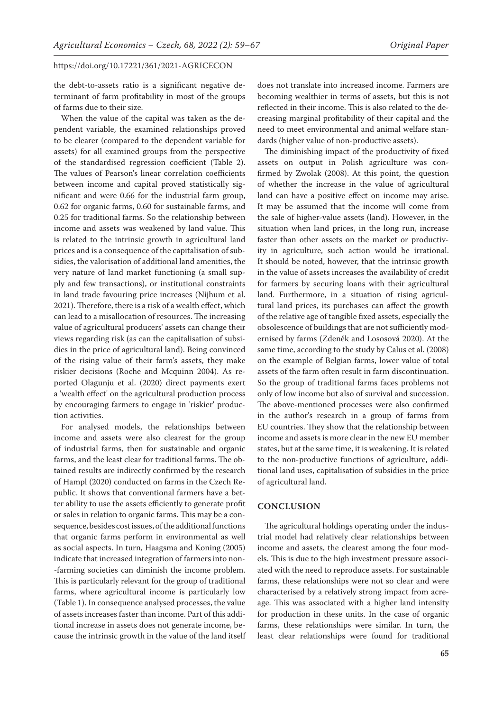the debt-to-assets ratio is a significant negative determinant of farm profitability in most of the groups of farms due to their size.

When the value of the capital was taken as the dependent variable, the examined relationships proved to be clearer (compared to the dependent variable for assets) for all examined groups from the perspective of the standardised regression coefficient (Table 2). The values of Pearson's linear correlation coefficients between income and capital proved statistically significant and were 0.66 for the industrial farm group, 0.62 for organic farms, 0.60 for sustainable farms, and 0.25 for traditional farms. So the relationship between income and assets was weakened by land value. This is related to the intrinsic growth in agricultural land prices and is a consequence of the capitalisation of subsidies, the valorisation of additional land amenities, the very nature of land market functioning (a small supply and few transactions), or institutional constraints in land trade favouring price increases (Nijhum et al. 2021). Therefore, there is a risk of a wealth effect, which can lead to a misallocation of resources. The increasing value of agricultural producers' assets can change their views regarding risk (as can the capitalisation of subsidies in the price of agricultural land). Being convinced of the rising value of their farm's assets, they make riskier decisions (Roche and Mcquinn 2004). As reported Olagunju et al. (2020) direct payments exert a 'wealth effect' on the agricultural production process by encouraging farmers to engage in 'riskier' production activities.

For analysed models, the relationships between income and assets were also clearest for the group of industrial farms, then for sustainable and organic farms, and the least clear for traditional farms. The obtained results are indirectly confirmed by the research of Hampl (2020) conducted on farms in the Czech Republic. It shows that conventional farmers have a better ability to use the assets efficiently to generate profit or sales in relation to organic farms. This may be a consequence, besides cost issues, of the additional functions that organic farms perform in environmental as well as social aspects. In turn, Haagsma and Koning (2005) indicate that increased integration of farmers into non- -farming societies can diminish the income problem. This is particularly relevant for the group of traditional farms, where agricultural income is particularly low (Table 1). In consequence analysed processes, the value of assets increases faster than income. Part of this additional increase in assets does not generate income, because the intrinsic growth in the value of the land itself

does not translate into increased income. Farmers are becoming wealthier in terms of assets, but this is not reflected in their income. This is also related to the decreasing marginal profitability of their capital and the need to meet environmental and animal welfare standards (higher value of non-productive assets).

The diminishing impact of the productivity of fixed assets on output in Polish agriculture was confirmed by Zwolak (2008). At this point, the question of whether the increase in the value of agricultural land can have a positive effect on income may arise. It may be assumed that the income will come from the sale of higher-value assets (land). However, in the situation when land prices, in the long run, increase faster than other assets on the market or productivity in agriculture, such action would be irrational. It should be noted, however, that the intrinsic growth in the value of assets increases the availability of credit for farmers by securing loans with their agricultural land. Furthermore, in a situation of rising agricultural land prices, its purchases can affect the growth of the relative age of tangible fixed assets, especially the obsolescence of buildings that are not sufficiently modernised by farms (Zdeněk and Lososová 2020). At the same time, according to the study by Calus et al. (2008) on the example of Belgian farms, lower value of total assets of the farm often result in farm discontinuation. So the group of traditional farms faces problems not only of low income but also of survival and succession. The above-mentioned processes were also confirmed in the author's research in a group of farms from EU countries. They show that the relationship between income and assets is more clear in the new EU member states, but at the same time, it is weakening. It is related to the non-productive functions of agriculture, additional land uses, capitalisation of subsidies in the price of agricultural land.

## **CONCLUSION**

The agricultural holdings operating under the industrial model had relatively clear relationships between income and assets, the clearest among the four models. This is due to the high investment pressure associated with the need to reproduce assets. For sustainable farms, these relationships were not so clear and were characterised by a relatively strong impact from acreage. This was associated with a higher land intensity for production in these units. In the case of organic farms, these relationships were similar. In turn, the least clear relationships were found for traditional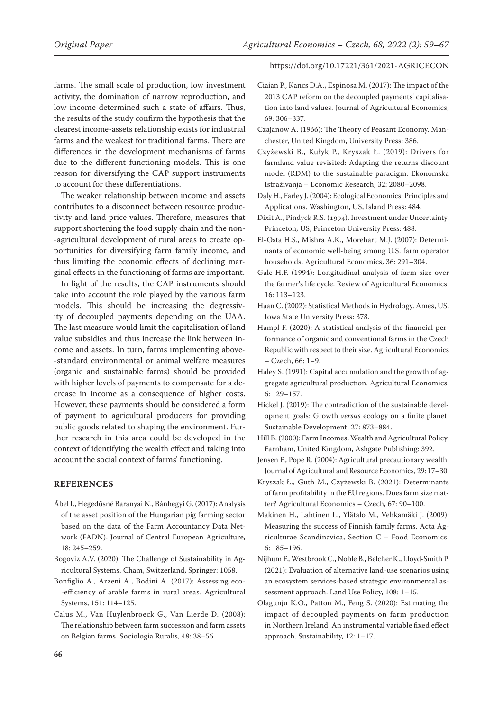farms. The small scale of production, low investment activity, the domination of narrow reproduction, and low income determined such a state of affairs. Thus, the results of the study confirm the hypothesis that the clearest income-assets relationship exists for industrial farms and the weakest for traditional farms. There are differences in the development mechanisms of farms due to the different functioning models. This is one reason for diversifying the CAP support instruments to account for these differentiations.

The weaker relationship between income and assets contributes to a disconnect between resource productivity and land price values. Therefore, measures that support shortening the food supply chain and the non- -agricultural development of rural areas to create opportunities for diversifying farm family income, and thus limiting the economic effects of declining marginal effects in the functioning of farms are important.

In light of the results, the CAP instruments should take into account the role played by the various farm models. This should be increasing the degressivity of decoupled payments depending on the UAA. The last measure would limit the capitalisation of land value subsidies and thus increase the link between income and assets. In turn, farms implementing above- -standard environmental or animal welfare measures (organic and sustainable farms) should be provided with higher levels of payments to compensate for a decrease in income as a consequence of higher costs. However, these payments should be considered a form of payment to agricultural producers for providing public goods related to shaping the environment. Further research in this area could be developed in the context of identifying the wealth effect and taking into account the social context of farms' functioning.

# **REFERENCES**

- Ábel I., Hegedűsné Baranyai N., Bánhegyi G. (2017): Analysis of the asset position of the Hungarian pig farming sector based on the data of the Farm Accountancy Data Network (FADN). Journal of Central European Agriculture, 18: 245–259.
- Bogoviz A.V. (2020): The Challenge of Sustainability in Agricultural Systems. Cham, Switzerland, Springer: 1058.
- Bonfiglio A., Arzeni A., Bodini A. (2017): Assessing eco- -efficiency of arable farms in rural areas. Agricultural Systems, 151: 114–125.
- Calus M., Van Huylenbroeck G., Van Lierde D. (2008): The relationship between farm succession and farm assets on Belgian farms. Sociologia Ruralis, 48: 38–56.

#### https://doi.org/10.17221/361/2021-AGRICECON

- Ciaian P., Kancs D.A., Espinosa M. (2017): The impact of the 2013 CAP reform on the decoupled payments' capitalisation into land values. Journal of Agricultural Economics, 69: 306–337.
- Czajanow A. (1966): The Theory of Peasant Economy. Manchester, United Kingdom, University Press: 386.
- Czyżewski B., Kułyk P., Kryszak Ł. (2019): Drivers for farmland value revisited: Adapting the returns discount model (RDM) to the sustainable paradigm. Ekonomska Istraživanja – Economic Research, 32: 2080–2098.
- Daly H., Farley J. (2004): Ecological Economics: Principles and Applications. Washington, US, Island Press: 484.
- Dixit A., Pindyck R.S. (1994). Investment under Uncertainty. Princeton, US, Princeton University Press: 488.
- El-Osta H.S., Mishra A.K., Morehart M.J. (2007): Determinants of economic well-being among U.S. farm operator households. Agricultural Economics, 36: 291–304.
- Gale H.F. (1994): Longitudinal analysis of farm size over the farmer's life cycle. Review of Agricultural Economics, 16: 113–123.
- Haan C. (2002): Statistical Methods in Hydrology. Ames, US, Iowa State University Press: 378.
- Hampl F. (2020): A statistical analysis of the financial performance of organic and conventional farms in the Czech Republic with respect to their size. Agricultural Economics – Czech, 66: 1–9.
- Haley S. (1991): Capital accumulation and the growth of aggregate agricultural production. Agricultural Economics, 6: 129–157.
- Hickel J. (2019): The contradiction of the sustainable development goals: Growth *versus* ecology on a finite planet. Sustainable Development, 27: 873–884.
- Hill B. (2000): Farm Incomes, Wealth and Agricultural Policy. Farnham, United Kingdom, Ashgate Publishing: 392.
- Jensen F., Pope R. (2004): Agricultural precautionary wealth. Journal of Agricultural and Resource Economics, 29: 17–30.
- Kryszak Ł., Guth M., Czyżewski B. (2021): Determinants of farm profitability in the EU regions. Does farm size matter? Agricultural Economics – Czech, 67: 90–100.
- Makinen H., Lahtinen L., Ylätalo M., Vehkamäki J. (2009): Measuring the success of Finnish family farms. Acta Agriculturae Scandinavica, Section C – Food Economics, 6: 185–196.
- Nijhum F., Westbrook C., Noble B., Belcher K., Lloyd-Smith P. (2021): Evaluation of alternative land-use scenarios using an ecosystem services-based strategic environmental assessment approach. Land Use Policy, 108: 1–15.
- Olagunju K.O., Patton M., Feng S. (2020): Estimating the impact of decoupled payments on farm production in Northern Ireland: An instrumental variable fixed effect approach. Sustainability, 12: 1–17.